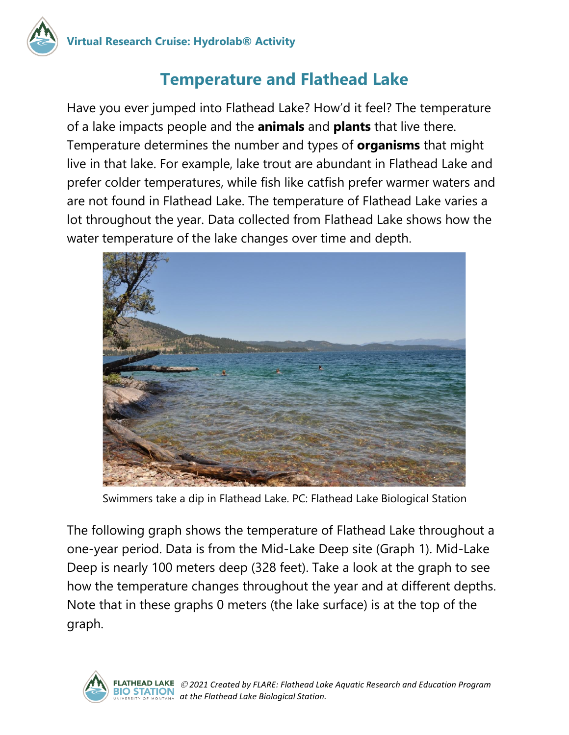

### **Temperature and Flathead Lake**

Have you ever jumped into Flathead Lake? How'd it feel? The temperature of a lake impacts people and the **animals** and **plants** that live there. Temperature determines the number and types of **organisms** that might live in that lake. For example, lake trout are abundant in Flathead Lake and prefer colder temperatures, while fish like catfish prefer warmer waters and are not found in Flathead Lake. The temperature of Flathead Lake varies a lot throughout the year. Data collected from Flathead Lake shows how the water temperature of the lake changes over time and depth.



Swimmers take a dip in Flathead Lake. PC: Flathead Lake Biological Station

The following graph shows the temperature of Flathead Lake throughout a one-year period. Data is from the Mid-Lake Deep site (Graph 1). Mid-Lake Deep is nearly 100 meters deep (328 feet). Take a look at the graph to see how the temperature changes throughout the year and at different depths. Note that in these graphs 0 meters (the lake surface) is at the top of the graph.

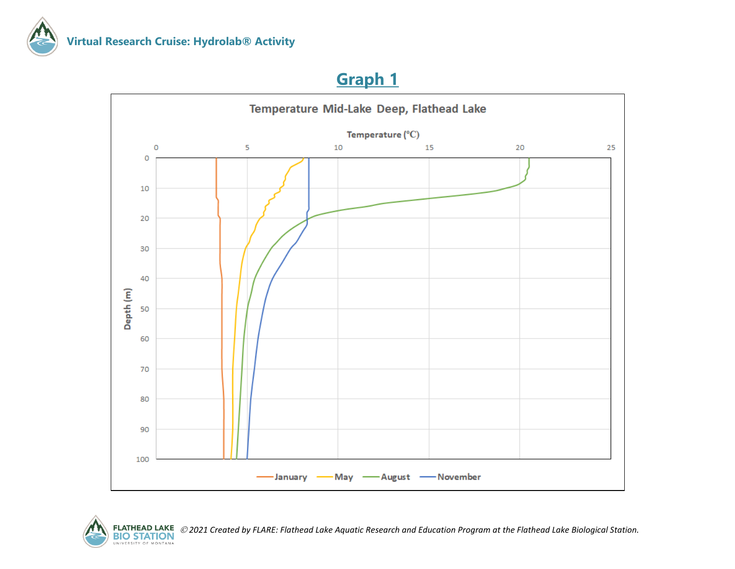

### **Graph 1**





*2021 Created by FLARE: Flathead Lake Aquatic Research and Education Program at the Flathead Lake Biological Station.*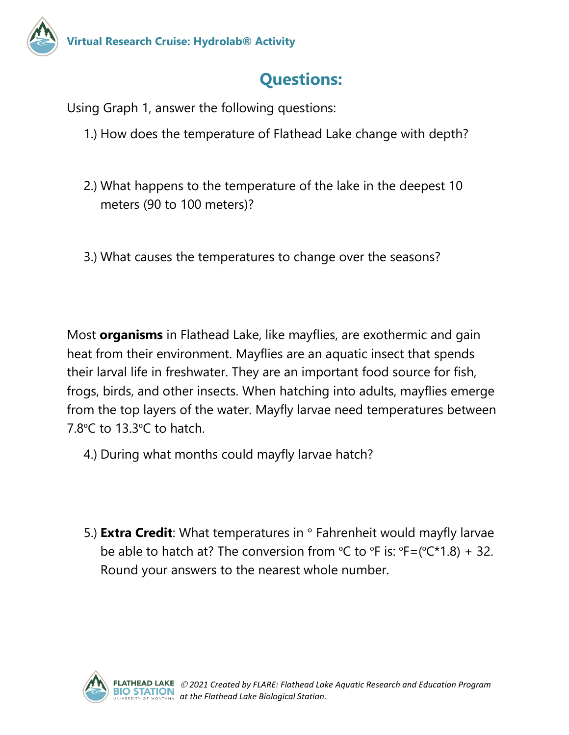## **Questions:**

Using Graph 1, answer the following questions:

- 1.) How does the temperature of Flathead Lake change with depth?
- 2.) What happens to the temperature of the lake in the deepest 10 meters (90 to 100 meters)?
- 3.) What causes the temperatures to change over the seasons?

Most **organisms** in Flathead Lake, like mayflies, are exothermic and gain heat from their environment. Mayflies are an aquatic insect that spends their larval life in freshwater. They are an important food source for fish, frogs, birds, and other insects. When hatching into adults, mayflies emerge from the top layers of the water. Mayfly larvae need temperatures between 7.8ºC to 13.3ºC to hatch.

- 4.) During what months could mayfly larvae hatch?
- 5.) **Extra Credit**: What temperatures in ° Fahrenheit would mayfly larvae be able to hatch at? The conversion from  $\degree$ C to  $\degree$ F is:  $\degree$ F = ( $\degree$ C  $\degree$ 1.8) + 32. Round your answers to the nearest whole number.

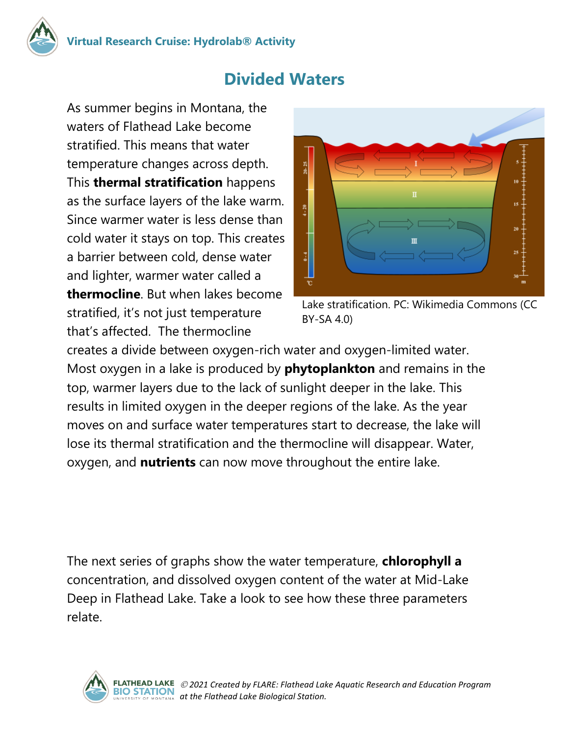

### **Divided Waters**

As summer begins in Montana, the waters of Flathead Lake become stratified. This means that water temperature changes across depth. This **thermal stratification** happens as the surface layers of the lake warm. Since warmer water is less dense than cold water it stays on top. This creates a barrier between cold, dense water and lighter, warmer water called a **thermocline**. But when lakes become stratified, it's not just temperature that's affected. The thermocline



Lake stratification. PC: Wikimedia Commons (CC BY-SA 4.0)

creates a divide between oxygen-rich water and oxygen-limited water. Most oxygen in a lake is produced by **phytoplankton** and remains in the top, warmer layers due to the lack of sunlight deeper in the lake. This results in limited oxygen in the deeper regions of the lake. As the year moves on and surface water temperatures start to decrease, the lake will lose its thermal stratification and the thermocline will disappear. Water, oxygen, and **nutrients** can now move throughout the entire lake.

The next series of graphs show the water temperature, **chlorophyll a** concentration, and dissolved oxygen content of the water at Mid-Lake Deep in Flathead Lake. Take a look to see how these three parameters relate.

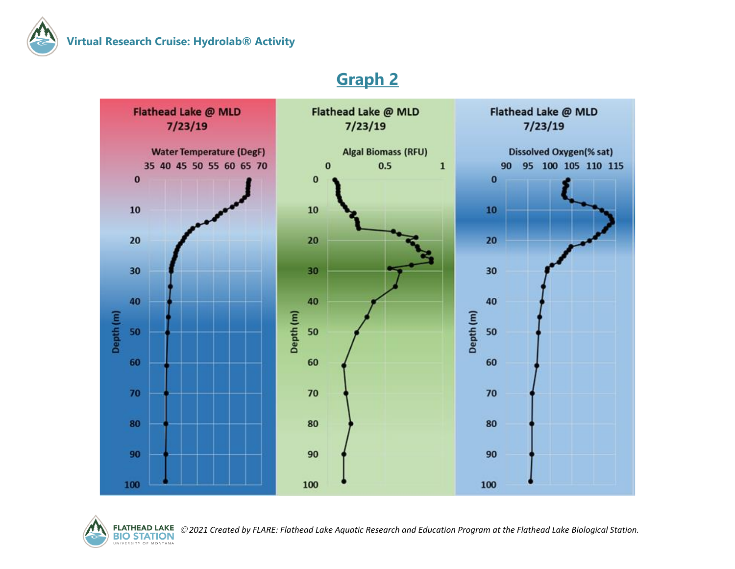



#### **Graph 2**



*2021 Created by FLARE: Flathead Lake Aquatic Research and Education Program at the Flathead Lake Biological Station.*